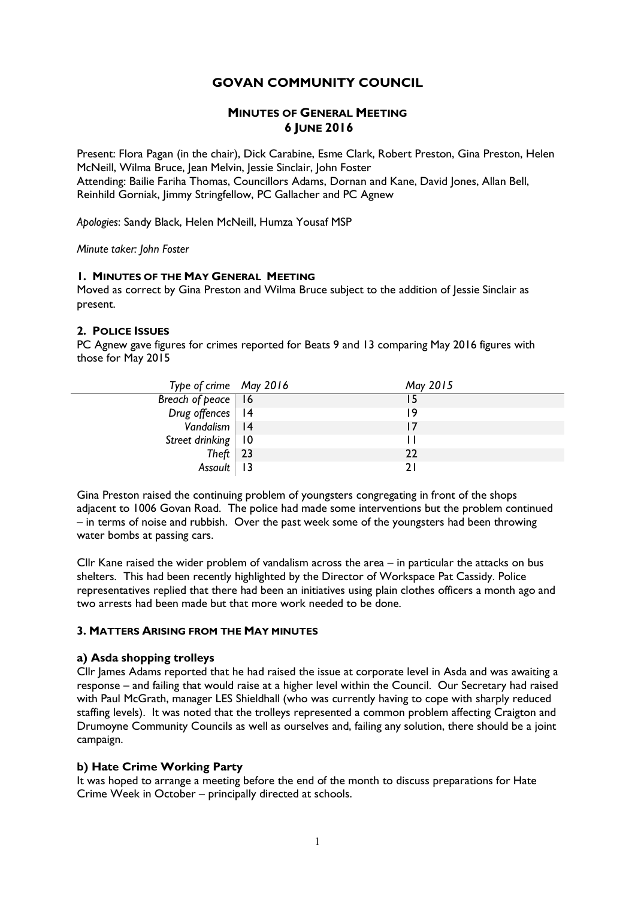# **GOVAN COMMUNITY COUNCIL**

# **MINUTES OF GENERAL MEETING 6 JUNE 2016**

Present: Flora Pagan (in the chair), Dick Carabine, Esme Clark, Robert Preston, Gina Preston, Helen McNeill, Wilma Bruce, Jean Melvin, Jessie Sinclair, John Foster Attending: Bailie Fariha Thomas, Councillors Adams, Dornan and Kane, David Jones, Allan Bell, Reinhild Gorniak, Jimmy Stringfellow, PC Gallacher and PC Agnew

*Apologies*: Sandy Black, Helen McNeill, Humza Yousaf MSP

*Minute taker: John Foster*

### **1. MINUTES OF THE MAY GENERAL MEETING**

Moved as correct by Gina Preston and Wilma Bruce subject to the addition of Jessie Sinclair as present.

### **2. POLICE ISSUES**

PC Agnew gave figures for crimes reported for Beats 9 and 13 comparing May 2016 figures with those for May 2015

| Type of crime May 2016 | May 2015 |
|------------------------|----------|
| Breach of peace   16   |          |
| Drug offences   14     | 19       |
| Vandalism   14         |          |
| Street drinking   10   |          |
| Theft   23             | 22       |
| Assault   13           |          |

Gina Preston raised the continuing problem of youngsters congregating in front of the shops adjacent to 1006 Govan Road. The police had made some interventions but the problem continued – in terms of noise and rubbish. Over the past week some of the youngsters had been throwing water bombs at passing cars.

Cllr Kane raised the wider problem of vandalism across the area – in particular the attacks on bus shelters. This had been recently highlighted by the Director of Workspace Pat Cassidy. Police representatives replied that there had been an initiatives using plain clothes officers a month ago and two arrests had been made but that more work needed to be done.

#### **3. MATTERS ARISING FROM THE MAY MINUTES**

#### **a) Asda shopping trolleys**

Cllr James Adams reported that he had raised the issue at corporate level in Asda and was awaiting a response – and failing that would raise at a higher level within the Council. Our Secretary had raised with Paul McGrath, manager LES Shieldhall (who was currently having to cope with sharply reduced staffing levels). It was noted that the trolleys represented a common problem affecting Craigton and Drumoyne Community Councils as well as ourselves and, failing any solution, there should be a joint campaign.

# **b) Hate Crime Working Party**

It was hoped to arrange a meeting before the end of the month to discuss preparations for Hate Crime Week in October – principally directed at schools.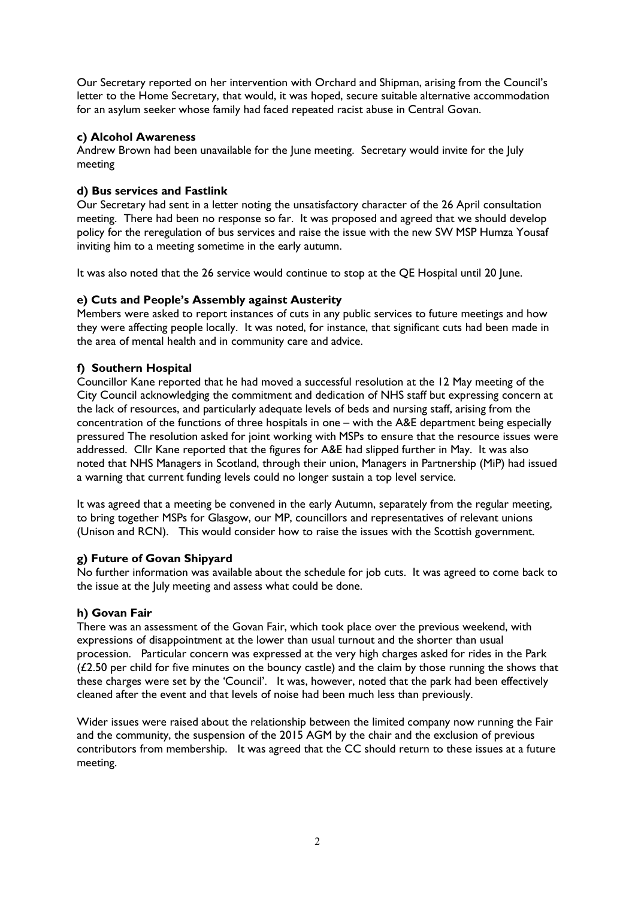Our Secretary reported on her intervention with Orchard and Shipman, arising from the Council's letter to the Home Secretary, that would, it was hoped, secure suitable alternative accommodation for an asylum seeker whose family had faced repeated racist abuse in Central Govan.

### **c) Alcohol Awareness**

Andrew Brown had been unavailable for the June meeting. Secretary would invite for the July meeting

# **d) Bus services and Fastlink**

Our Secretary had sent in a letter noting the unsatisfactory character of the 26 April consultation meeting. There had been no response so far. It was proposed and agreed that we should develop policy for the reregulation of bus services and raise the issue with the new SW MSP Humza Yousaf inviting him to a meeting sometime in the early autumn.

It was also noted that the 26 service would continue to stop at the QE Hospital until 20 June.

### **e) Cuts and People's Assembly against Austerity**

Members were asked to report instances of cuts in any public services to future meetings and how they were affecting people locally. It was noted, for instance, that significant cuts had been made in the area of mental health and in community care and advice.

### **f) Southern Hospital**

Councillor Kane reported that he had moved a successful resolution at the 12 May meeting of the City Council acknowledging the commitment and dedication of NHS staff but expressing concern at the lack of resources, and particularly adequate levels of beds and nursing staff, arising from the concentration of the functions of three hospitals in one – with the A&E department being especially pressured The resolution asked for joint working with MSPs to ensure that the resource issues were addressed. Cllr Kane reported that the figures for A&E had slipped further in May. It was also noted that NHS Managers in Scotland, through their union, Managers in Partnership (MiP) had issued a warning that current funding levels could no longer sustain a top level service.

It was agreed that a meeting be convened in the early Autumn, separately from the regular meeting, to bring together MSPs for Glasgow, our MP, councillors and representatives of relevant unions (Unison and RCN). This would consider how to raise the issues with the Scottish government.

# **g) Future of Govan Shipyard**

No further information was available about the schedule for job cuts. It was agreed to come back to the issue at the July meeting and assess what could be done.

#### **h) Govan Fair**

There was an assessment of the Govan Fair, which took place over the previous weekend, with expressions of disappointment at the lower than usual turnout and the shorter than usual procession. Particular concern was expressed at the very high charges asked for rides in the Park  $(£2.50$  per child for five minutes on the bouncy castle) and the claim by those running the shows that these charges were set by the 'Council'. It was, however, noted that the park had been effectively cleaned after the event and that levels of noise had been much less than previously.

Wider issues were raised about the relationship between the limited company now running the Fair and the community, the suspension of the 2015 AGM by the chair and the exclusion of previous contributors from membership. It was agreed that the CC should return to these issues at a future meeting.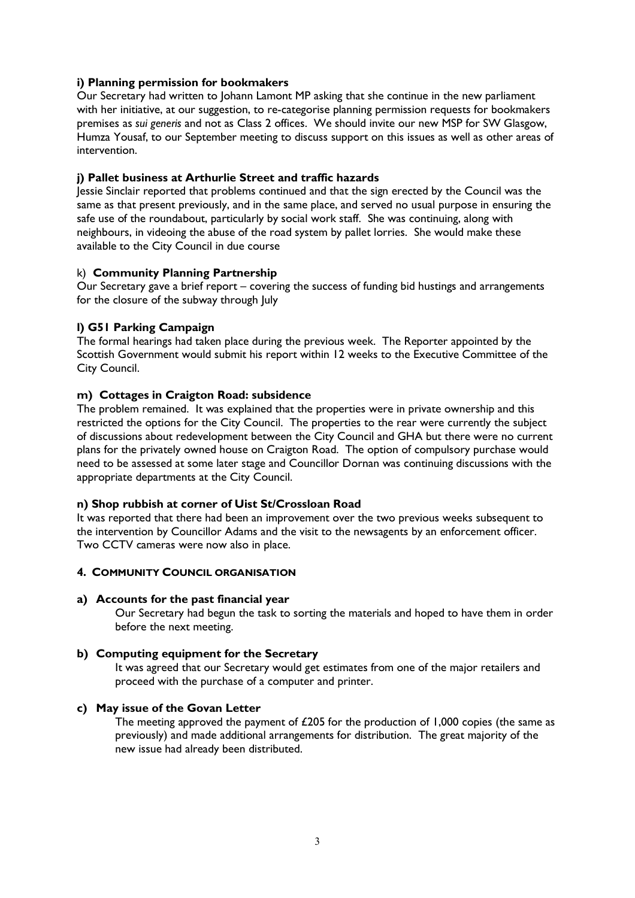### **i) Planning permission for bookmakers**

Our Secretary had written to Johann Lamont MP asking that she continue in the new parliament with her initiative, at our suggestion, to re-categorise planning permission requests for bookmakers premises as *sui generis* and not as Class 2 offices. We should invite our new MSP for SW Glasgow, Humza Yousaf, to our September meeting to discuss support on this issues as well as other areas of intervention.

#### **j) Pallet business at Arthurlie Street and traffic hazards**

Jessie Sinclair reported that problems continued and that the sign erected by the Council was the same as that present previously, and in the same place, and served no usual purpose in ensuring the safe use of the roundabout, particularly by social work staff. She was continuing, along with neighbours, in videoing the abuse of the road system by pallet lorries. She would make these available to the City Council in due course

### k) **Community Planning Partnership**

Our Secretary gave a brief report – covering the success of funding bid hustings and arrangements for the closure of the subway through July

### **l) G51 Parking Campaign**

The formal hearings had taken place during the previous week. The Reporter appointed by the Scottish Government would submit his report within 12 weeks to the Executive Committee of the City Council.

### **m) Cottages in Craigton Road: subsidence**

The problem remained. It was explained that the properties were in private ownership and this restricted the options for the City Council. The properties to the rear were currently the subject of discussions about redevelopment between the City Council and GHA but there were no current plans for the privately owned house on Craigton Road. The option of compulsory purchase would need to be assessed at some later stage and Councillor Dornan was continuing discussions with the appropriate departments at the City Council.

#### **n) Shop rubbish at corner of Uist St/Crossloan Road**

It was reported that there had been an improvement over the two previous weeks subsequent to the intervention by Councillor Adams and the visit to the newsagents by an enforcement officer. Two CCTV cameras were now also in place.

#### **4. COMMUNITY COUNCIL ORGANISATION**

#### **a) Accounts for the past financial year**

Our Secretary had begun the task to sorting the materials and hoped to have them in order before the next meeting.

#### **b) Computing equipment for the Secretary**

It was agreed that our Secretary would get estimates from one of the major retailers and proceed with the purchase of a computer and printer.

#### **c) May issue of the Govan Letter**

The meeting approved the payment of £205 for the production of 1,000 copies (the same as previously) and made additional arrangements for distribution. The great majority of the new issue had already been distributed.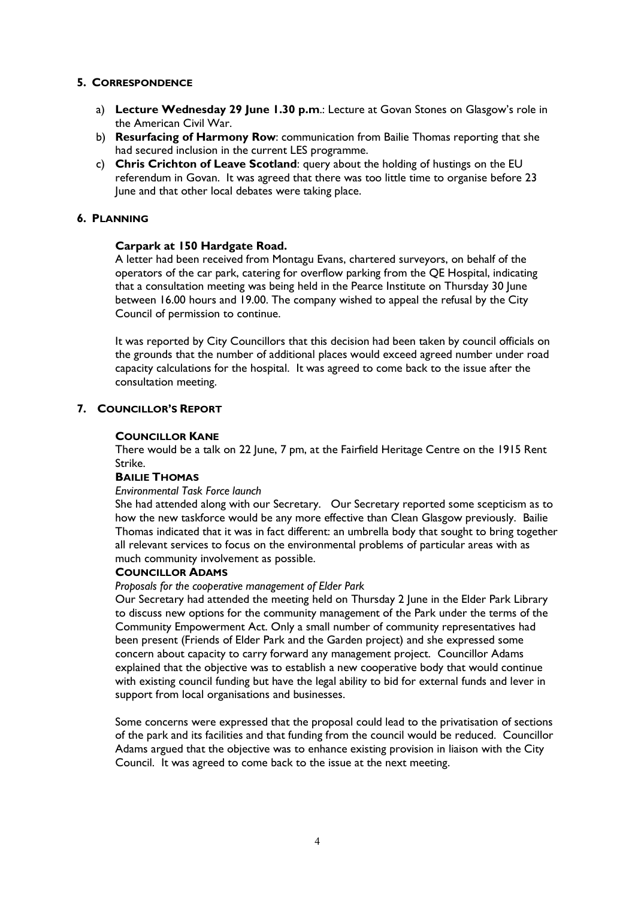### **5. CORRESPONDENCE**

- a) **Lecture Wednesday 29 June 1.30 p.m**.: Lecture at Govan Stones on Glasgow's role in the American Civil War.
- b) **Resurfacing of Harmony Row**: communication from Bailie Thomas reporting that she had secured inclusion in the current LES programme.
- c) **Chris Crichton of Leave Scotland**: query about the holding of hustings on the EU referendum in Govan. It was agreed that there was too little time to organise before 23 June and that other local debates were taking place.

#### **6. PLANNING**

#### **Carpark at 150 Hardgate Road.**

A letter had been received from Montagu Evans, chartered surveyors, on behalf of the operators of the car park, catering for overflow parking from the QE Hospital, indicating that a consultation meeting was being held in the Pearce Institute on Thursday 30 June between 16.00 hours and 19.00. The company wished to appeal the refusal by the City Council of permission to continue.

It was reported by City Councillors that this decision had been taken by council officials on the grounds that the number of additional places would exceed agreed number under road capacity calculations for the hospital. It was agreed to come back to the issue after the consultation meeting.

# **7. COUNCILLOR'S REPORT**

#### **COUNCILLOR KANE**

There would be a talk on 22 June, 7 pm, at the Fairfield Heritage Centre on the 1915 Rent Strike.

#### **BAILIE THOMAS**

#### *Environmental Task Force launch*

She had attended along with our Secretary. Our Secretary reported some scepticism as to how the new taskforce would be any more effective than Clean Glasgow previously. Bailie Thomas indicated that it was in fact different: an umbrella body that sought to bring together all relevant services to focus on the environmental problems of particular areas with as much community involvement as possible.

#### **COUNCILLOR ADAMS**

#### *Proposals for the cooperative management of Elder Park*

Our Secretary had attended the meeting held on Thursday 2 June in the Elder Park Library to discuss new options for the community management of the Park under the terms of the Community Empowerment Act. Only a small number of community representatives had been present (Friends of Elder Park and the Garden project) and she expressed some concern about capacity to carry forward any management project. Councillor Adams explained that the objective was to establish a new cooperative body that would continue with existing council funding but have the legal ability to bid for external funds and lever in support from local organisations and businesses.

Some concerns were expressed that the proposal could lead to the privatisation of sections of the park and its facilities and that funding from the council would be reduced. Councillor Adams argued that the objective was to enhance existing provision in liaison with the City Council. It was agreed to come back to the issue at the next meeting.